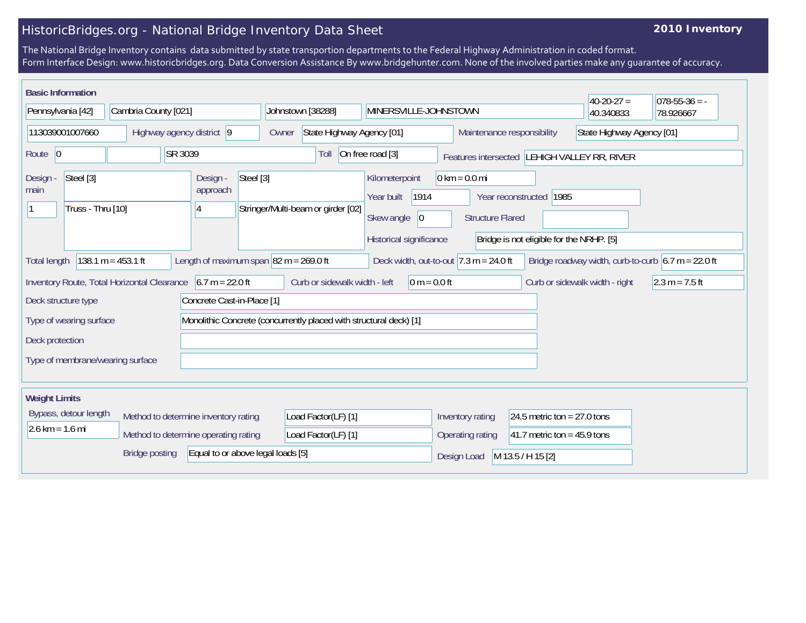## HistoricBridges.org - National Bridge Inventory Data Sheet

## **2010 Inventory**

The National Bridge Inventory contains data submitted by state transportion departments to the Federal Highway Administration in coded format. Form Interface Design: www.historicbridges.org. Data Conversion Assistance By www.bridgehunter.com. None of the involved parties make any guarantee of accuracy.

| <b>Basic Information</b>                                                                                                                                                                                       |                      |                     |                                                                                                             |                                                         |                                                            |                                | $40-20-27 =$              | $078-55-36 = -$ |
|----------------------------------------------------------------------------------------------------------------------------------------------------------------------------------------------------------------|----------------------|---------------------|-------------------------------------------------------------------------------------------------------------|---------------------------------------------------------|------------------------------------------------------------|--------------------------------|---------------------------|-----------------|
| Pennsylvania [42]                                                                                                                                                                                              | Cambria County [021] |                     | Johnstown [38288]                                                                                           | MINERSVILLE-JOHNSTOWN                                   |                                                            |                                | 40.340833                 | 78.926667       |
| 113039001007660<br>Highway agency district 9                                                                                                                                                                   |                      |                     | Owner                                                                                                       | State Highway Agency [01]<br>Maintenance responsibility |                                                            |                                | State Highway Agency [01] |                 |
| SR 3039<br>Route 0                                                                                                                                                                                             |                      |                     | On free road [3]<br>Toll<br>Features intersected LEHIGH VALLEY RR, RIVER                                    |                                                         |                                                            |                                |                           |                 |
| Steel [3]<br>Design -<br>Design -<br>approach<br>main<br>Truss - Thru [10]<br>14                                                                                                                               |                      |                     | Steel [3]<br>Kilometerpoint<br>1914<br>Year built<br>Stringer/Multi-beam or girder [02]<br>Skew angle<br> 0 |                                                         | $0 \text{ km} = 0.0 \text{ mi}$<br><b>Structure Flared</b> | Year reconstructed 1985        |                           |                 |
| Historical significance<br>Bridge is not eligible for the NRHP. [5]                                                                                                                                            |                      |                     |                                                                                                             |                                                         |                                                            |                                |                           |                 |
| 138.1 $m = 453.1$ ft<br>Length of maximum span $ 82 m = 269.0 ft$<br>Deck width, out-to-out $ 7.3 \text{ m} = 24.0 \text{ ft} $<br>Bridge roadway width, curb-to-curb $6.7 m = 22.0 ft$<br><b>Total length</b> |                      |                     |                                                                                                             |                                                         |                                                            |                                |                           |                 |
| $6.7 m = 22.0 ft$<br>Inventory Route, Total Horizontal Clearance                                                                                                                                               |                      |                     | Curb or sidewalk width - left<br>$0 m = 0.0 ft$                                                             |                                                         |                                                            | Curb or sidewalk width - right | $2.3 m = 7.5 ft$          |                 |
| Concrete Cast-in-Place [1]<br>Deck structure type                                                                                                                                                              |                      |                     |                                                                                                             |                                                         |                                                            |                                |                           |                 |
| Type of wearing surface                                                                                                                                                                                        |                      |                     | Monolithic Concrete (concurrently placed with structural deck) [1]                                          |                                                         |                                                            |                                |                           |                 |
| Deck protection                                                                                                                                                                                                |                      |                     |                                                                                                             |                                                         |                                                            |                                |                           |                 |
| Type of membrane/wearing surface                                                                                                                                                                               |                      |                     |                                                                                                             |                                                         |                                                            |                                |                           |                 |
| <b>Weight Limits</b>                                                                                                                                                                                           |                      |                     |                                                                                                             |                                                         |                                                            |                                |                           |                 |
| Bypass, detour length<br>Method to determine inventory rating<br>$2.6 \text{ km} = 1.6 \text{ mi}$<br>Method to determine operating rating                                                                     |                      |                     | Load Factor(LF) [1]                                                                                         |                                                         | Inventory rating                                           | 24.5 metric ton = $27.0$ tons  |                           |                 |
|                                                                                                                                                                                                                |                      | Load Factor(LF) [1] |                                                                                                             | Operating rating                                        | 41.7 metric ton = $45.9$ tons                              |                                |                           |                 |
| <b>Bridge posting</b><br>Equal to or above legal loads [5]                                                                                                                                                     |                      |                     |                                                                                                             | Design Load                                             | M 13.5 / H 15 [2]                                          |                                |                           |                 |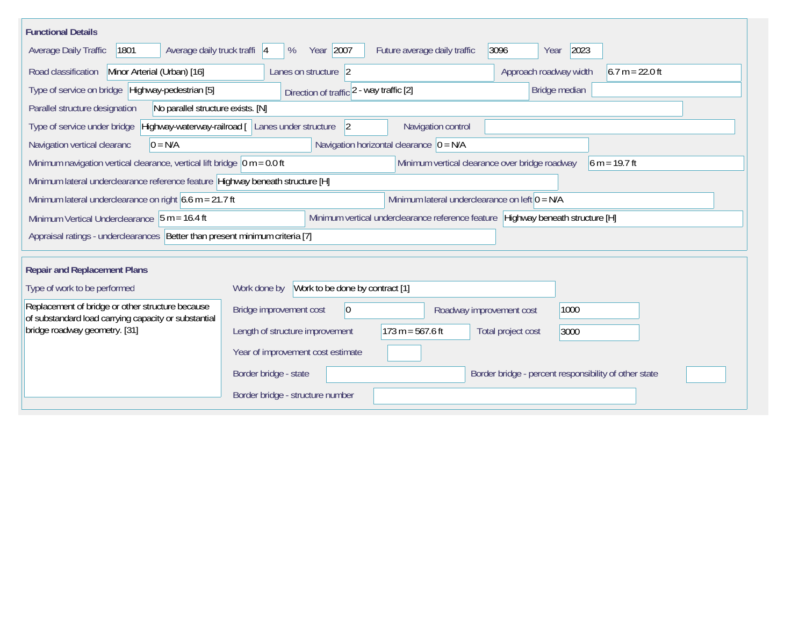| <b>Functional Details</b>                                                                                                            |                                                                                                                                                       |                              |                                                       |  |  |  |
|--------------------------------------------------------------------------------------------------------------------------------------|-------------------------------------------------------------------------------------------------------------------------------------------------------|------------------------------|-------------------------------------------------------|--|--|--|
| Average daily truck traffi 4<br>Average Daily Traffic<br>1801                                                                        | Year 2007<br>%                                                                                                                                        | Future average daily traffic | 3096<br>2023<br>Year                                  |  |  |  |
| Minor Arterial (Urban) [16]<br>$6.7 m = 22.0 ft$<br>Road classification<br>Approach roadway width<br>Lanes on structure 2            |                                                                                                                                                       |                              |                                                       |  |  |  |
| Type of service on bridge Highway-pedestrian [5]                                                                                     | Direction of traffic 2 - way traffic [2]                                                                                                              |                              | Bridge median                                         |  |  |  |
| No parallel structure exists. [N]<br>Parallel structure designation                                                                  |                                                                                                                                                       |                              |                                                       |  |  |  |
| Highway-waterway-railroad [ Lanes under structure<br> 2 <br>Navigation control<br>Type of service under bridge                       |                                                                                                                                                       |                              |                                                       |  |  |  |
| Navigation vertical clearanc<br>$0 = N/A$                                                                                            | Navigation horizontal clearance $ 0 = N/A$                                                                                                            |                              |                                                       |  |  |  |
|                                                                                                                                      | Minimum navigation vertical clearance, vertical lift bridge $\vert$ 0 m = 0.0 ft<br>Minimum vertical clearance over bridge roadway<br>$6 m = 19.7 ft$ |                              |                                                       |  |  |  |
| Minimum lateral underclearance reference feature Highway beneath structure [H]                                                       |                                                                                                                                                       |                              |                                                       |  |  |  |
| Minimum lateral underclearance on left $0 = N/A$<br>Minimum lateral underclearance on right $6.6$ m = 21.7 ft                        |                                                                                                                                                       |                              |                                                       |  |  |  |
| Minimum vertical underclearance reference feature   Highway beneath structure [H]<br>Minimum Vertical Underclearance $5 m = 16.4 ft$ |                                                                                                                                                       |                              |                                                       |  |  |  |
| Appraisal ratings - underclearances   Better than present minimum criteria [7]                                                       |                                                                                                                                                       |                              |                                                       |  |  |  |
|                                                                                                                                      |                                                                                                                                                       |                              |                                                       |  |  |  |
| <b>Repair and Replacement Plans</b>                                                                                                  |                                                                                                                                                       |                              |                                                       |  |  |  |
| Type of work to be performed                                                                                                         | Work to be done by contract [1]<br>Work done by                                                                                                       |                              |                                                       |  |  |  |
| Replacement of bridge or other structure because<br>of substandard load carrying capacity or substantial                             | Bridge improvement cost<br>$ 0\rangle$                                                                                                                | Roadway improvement cost     | 1000                                                  |  |  |  |
| bridge roadway geometry. [31]                                                                                                        | Length of structure improvement                                                                                                                       | $173 m = 567.6 ft$           | Total project cost<br>3000                            |  |  |  |
|                                                                                                                                      | Year of improvement cost estimate                                                                                                                     |                              |                                                       |  |  |  |
|                                                                                                                                      | Border bridge - state                                                                                                                                 |                              | Border bridge - percent responsibility of other state |  |  |  |
|                                                                                                                                      | Border bridge - structure number                                                                                                                      |                              |                                                       |  |  |  |